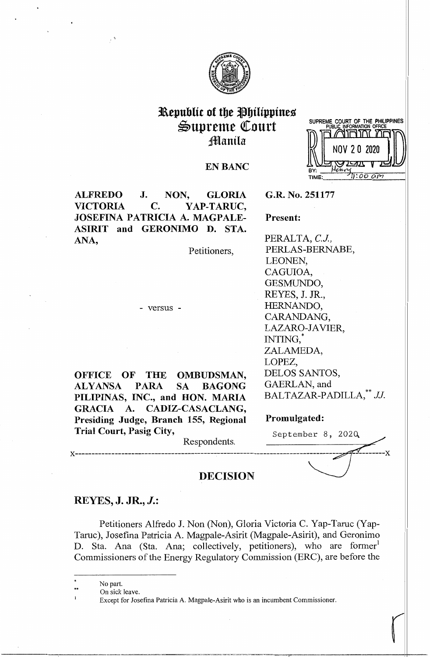

# **31\epublit of tbe !'btlipptnes**   $\mathfrak{S}$ upreme Court **Manila**



# **EN BANC**

**ALFREDO J. NON, GLORIA VICTORIA C. YAP-TARUC, JOSEFINA PATRICIA A. MAGPALE-ASIRIT and GERONIMO D. STA. ANA,** 

. '\

Petitioners,

- versus -

**OFFICE OF THE OMBUDSMAN, ALYANSA PARA SA BAGONG PILIPINAS, INC., and HON. MARIA GRACIA A. CADIZ-CASACLANG, Presiding Judge, Branch 155, Regional Promulgated:**  Trial Court, Pasig City,<br>Respondents. September 8, 2020

**G.R. No. 251177** 

# **Present:**

PERALTA, *C.J.,*  PERLAS-BERNABE, LEONEN, CAGUIOA, GESMUNDO, REYES, J. JR., HERNANDO, CARANDANG, LAZARO-JAVIER, INTING,\* ZALAMEDA, LOPEZ, DELOS SANTOS, GAERLAN, and BALTAZAR-PADILLA,<sup>\*\*</sup> JJ.

r

x-------------------------------- Respondents. ------------------~ x **DECISION** ~

# **REYES, J. JR., J.:**

Petitioners Alfredo J. Non (Non), Gloria Victoria C. Yap-Taruc (Yap-Taruc), Josefina Patricia A. Magpale-Asirit (Magpale-Asirit), and Geronimo D. Sta. Ana (Sta. Ana; collectively, petitioners), who are former<sup>1</sup> Commissioners of the Energy Regulatory Commission (ERC), are before the

- No part.
- •• On sick leave.

Except for Josefina Patricia A. Magpale-Asirit who is an incumbent Commissioner.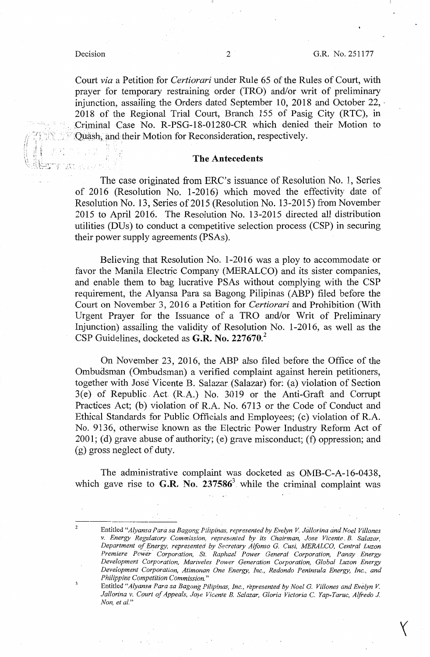$\overline{\mathbf{z}}$ 

/l

*t:,* .. f

Court *via* a Petition for *Certiorari* under Rule 65 of the Rules of Court, with prayer for temporary restraining order (TRO) and/or writ of preliminary injunction, assailing the Orders dated September 10, 2018 and October 22, -2018 of the Regional Trial Court, Branch 155 of Pasig City (RTC), in Criminal Case No. R-PSG-18-01280-CR which denied their Motion to :Quash, and their Motion for Reconsideration, respectively.

### **The Antecedents**

The case originated from ERC's issuance of Resolution No. 1, Series of 2016 (Resolution No. 1-2016) which moved the effectivity date of Resolution No. 13, Series of 2015 (Resolution No. 13-2015) from November 2015 to April 2016. The Resolution No. 13-2015 directed all distribution utilities (DUs) to conduct a competitive selection process **(CSP)** in securing their power supply agreements (PSAs).

Believing that Resolution No. 1-2016 was a ploy to accommodate or favor the Manila Electric Company (MERALCO) and its sister companies, and enable them to bag lucrative PS.As without complying with the CSP requirement, the Alyansa Para sa Bagong Pilipinas (ABP) filed before the Court on November 3, 2016 a Petition for *Certiorari* and Prohibition (With Urgent Prayer for the Issuance of a TRO and/or Writ of Preliminary Injunction) assailing the validity of Resolution No. 1-2016, as well as the CSP Guidelines, docketed as **G.R. No. 227670.<sup>2</sup>**

On November 23, 2016, the ABP also filed before the Office of the Ombudsman (Ombudsman) a verified complaint against herein petitioners, together with Jose Vicente B. Salazar{Salazar) for: (a) violation of Section 3(e) of Republic Act (R.A.) No. 3019 or the Anti-Graft and Corrupt Practices Act; (b) violation of R.A. No. 6713 or the Code of Conduct and Ethical Standards for Public Officials and Employees; (c) violation of R.A. No. 9136, otherwise known as the Electric Power Industry Reform Act of 2001; (d) grave abuse of authority; (e) grave misconduct; (f) oppression; and (g) gross neglect of duty.

The administrative complaint was docketed as OMB-C-A-16-0438, which gave rise to G.R. No.  $237586^3$  while the criminal complaint was

Entitled *"Alyansa Para sa Bagong P:hpinas, represented by Evelyn V Jallorina and Noel Vi/lanes v. Energy Regulatory Commission, represented by its Chairman, Jose Vicente, B. Salazar, Department of Energy, represented by &cretary Alfonso* G. *Cusi, MERALCO, Central Luzon Premiere Pow'er. Corporation, St. Raphael Power General Corporation, Panay Energy Development Corporation, Mariveles Power Generation Corporation, Global Luzon Energy Development Corporation, Atimonan One Energy, Inc., Redondo Peninsula Energy, Inc., and Philippine Competition Commission."* 

Entitled "Alyansa Para sa Bagong Pilipinas, Inc., represented by Noel G. Villones and Evelyn V. *Jallorina v. Court of Appeals, Jose Vicente B. Salazar, Gloria Victoria C. Yap-Taruc, Alfredo J. Non, et al."*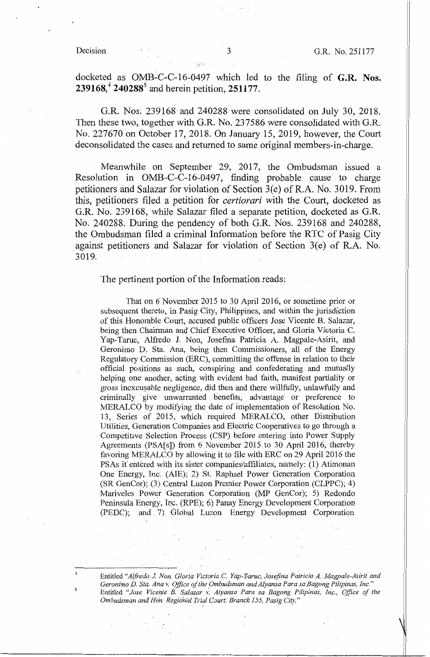4

docketed as OMB-C-C-16-0497 which led to the filing of **G.R. Nos. 239168,<sup>4</sup>240288<sup>5</sup>**and herein petition, **251177.** 

G.R. Nos. 239168 and 240288 were consolidated on July 30, 2018. Then these two, together with G.R. No. 237586 were consolidated with G.R. No. 227670 on October 17, 2018. On January 15, 2019, however, the Court deconsolidated the cases and returned to same original members-in-charge.

Meanwhile on September 29, 2017, the Ombudsman issued a Resolution in OMB-C-C-16-0497, finding probable cause to charge petitioners and Salazar for violation of Section 3(e) of R.A. No. 3019. From this, petitioners filed a petition for *certiorari* with the Court, docketed as G.R. No. 239168, while Salazar filed a separate petition, docketed as G.R. No. 240288. During the pendency of both G.R. Nos. 239168 and 240288, the Ombudsman filed a criminal Information before the RTC of Pasig City against petitioners and Salazar for violation of Section  $3(e)$  of R.A. No. 3019.

# The pertinent portion of the Information reads:

That on 6 November 2015 to 30 April 2016, or sometime.prior or subsequent thereto, in Pasig City, Philippines, and within the jurisdiction of this Honorable Court, accused public officers Jose Vicente. B. Salazar, being then Chairman and Chief Executive Officer, and Gloria Victoria C. Yap-Taruc, Alfredo J. Non, Josefina Patricia A. Magpale-Asirit, and Geronimo D. Sta. Ana, being then Commissioners, all of the Energy Regulatory Commission (ERC), committing the offense in relation to their official positions as such, conspiring and confederating and mutually helping one another, acting with evident bad faith, manifest partiality or gross inexcusable negligence, did then and there willfully, unlawfully and criminally · give unwarranted benefits, advantage or preference to MERALCO by modifying the date of implementation of Resolution No. 13, Series of 2015, which required MERALCO, other Distribution Utilities, Generation Companies and Electric Cooperatives to go through a Competitive Selection Process (CSP) before entering into Power Supply Agreements (PSA[s]) from 6 November 2015 to 30 April 2016, thereby favoring MERALCO by allowing it to file with ERC on 29 April 2016 the PSAs it entered with its sister companies/affiliates, namely: (1) Atimonan One Energy, Inc·. (AIE); 2) St. Raphael Power Generation Corporation (SR GenCor); (3) Central Luzon Premier Power Corporation (CLPPC); 4) Mariveles Power Generation Corporation (MP GenCor); 5) Redondo Peninsula Energy, Inc. (RPE); 6) Panay Energy Development Corporation (PEDC); and. 7) Global Luzon Energy Development Corporation

Entitled "Alfredo J. Non, Gloria Victoria C. Yap-Taruc, Josefina Patricia A. Magpale-Asirit and Geronimo D. Sta. Ana v. Office of the Ombudsman and Alyansa Para sa Bagong Pilipinas, Inc." Entitled "Jose Vicente B. Salazar v. Alyansa Para sa Bagong Pilipinas, Inc., Office of the *Ombudsman and* Hon *Regional Trial Caurt, Branch 155, Pasig City."* ' ' .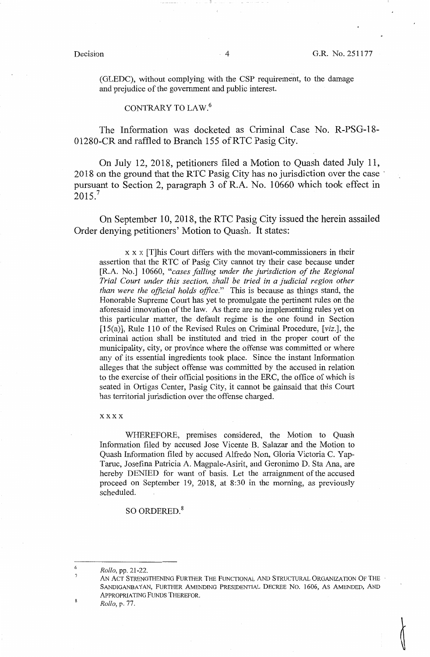(GLEDC), without complying with the CSP requirement, to the damage and prejudice of the government and public interest.

### CONTRARY TO LAW.<sup>6</sup>

The Information was docketed as Criminal Case No. R-PSG-18- 01280-CR and raffled to Branch 155 ofRTC Pasig City.

On July 12, 2018, petitioners filed a Motion to Quash dated July 11, 2018 on the ground that the RTC Pasig City has no jurisdiction over the case · pursuant to Section 2, paragraph 3 of R.A. No. 10660 which took effect in  $2015.<sup>7</sup>$ 

On September 10, 2018, the RTC Pasig City issued the herein assailed Order denying petitioners' Motion to Quash. It states:

x x x [T]his Court differs with the movant-commissioners in their assertion that the RTC of Pasig City cannot try their case because under [R.A. No.] 10660, *"cases falling under the jurisdiction of the Regional Trial Court under this section, shall be tried in a judicial region other than were the official holds office."* This is because as things stand, the Honorable Supreme Court has yet to promulgate the pertinent rules on the aforesaid innovation of the law. As there are no implementing rules yet on this particular matter, the default regime is the one found in Section  $[15(a)]$ , Rule 110 of the Revised Rules on Criminal Procedure,  $[viz.]$ , the criminal action shall be instituted and tried in the proper court of the municipality, city, or province where the offense was committed or where any of its essential ingredients took place. Since the instant Information alleges that the subject offense was committed by the accused in relation to the exercise of their official positions in the ERC, the office of which is seated in Ortigas Center, Pasig City, it cannot be gainsaid that this Court has territorial jurisdiction over the offense charged.

#### xxxx

WHEREFORE, premises considered, the Motion to Quash Information filed by accused Jose Vicente B. Salazar and the Motion to Quash Information filed by accused Alfredo Non, Gloria Victoria C. Yap-Taruc, Josefina Patricia A. Magpale-Asirit, and Geronimo D. Sta Ana, are hereby DENIED for want of basis. Let the arraignment of the accused proceed on September 19, 2018, at 8:30 in the morning, as previously scheduled.

SO ORDERED.<sup>8</sup>

6 7 *Rollo,* pp. 21-22.

AN ACT STRENGTHENING FURTHER THE FUNCTIONAL AND STRUCTURAL ORGANIZATION OF THE SANDIGANBAYAN, FURTHER AMENDING PRESIDENTIAL DECREE NO. 1606, AS AMENDED, AND APPROPRIATING FUNDS THEREFOR.

*Rollo,* p. 77.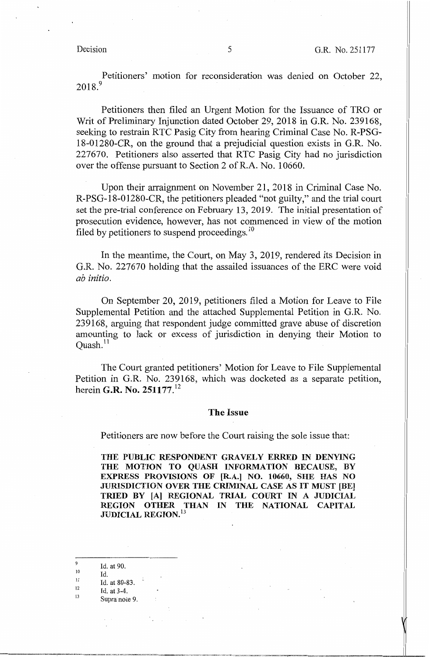Petitioners' motion for reconsideration was denied on October 22, 2018. <sup>9</sup>

Petitioners then filed an Urgent Motion for the Issuance of TRO or Writ of Preliminary Injunction dated October 29, 2018 in G.R. No. 239168, seeking to restrain RTC Pasig City from hearing Criminal Case No. R-PSG-18-01280-CR, on the ground that a prejudicial question exists in G.R. No. 227670. Petitioners also asserted that RTC Pasig City had no jurisdiction over the offense pursuant to Section 2 of R.A. No. 10660.

Upon their arraignment on November 21, 2018 in Criminal Case No. R-PSG-18-01280-CR, the petitioners pleaded "not guilty," and the trial court set the pre-trial conference on February 13, 2019. The initial presentation of prosecution evidence, however, has not commenced in view of the motion filed by petitioners to suspend proceedings.<sup>10</sup>

In the meantime, the Court, on May 3, 2019, rendered its Decision in G.R. No. 227670 holding that the assailed issuances of the ERC were void *ab initio.* 

On September 20, 2019, petitioners filed a Motion for Leave to File Supplemental Petition and the attached Supplemental Petition in G.R. No. 239168, arguing that respondent judge committed grave abuse of discretion amounting to lack or excess of jurisdiction in denying their Motion to Ouash. $^{11}$ 

The Court granted petitioners' Motion for Leave to File Supplemental Petition in **G.R.** No. 239168, which was docketed as a separate petition, herein **G.R. No. 251177. <sup>12</sup>**

### **The Issue**

Petitioners are now before the Court raising the sole issue that:

**THE PUBLIC RESPONDENT GRAVELY ERRED IN DENYING THE MOTION TO QUASH INFORMATION BECAUSE, BY EXPRESS PROVISIONS OF [R.A.] NO. 10660, SHE HAS NO JURISDICTION OVER THE CRIMINAL CASE AS IT MUST [BE] TRIED BY [A] REGIONAL TRIAL COURT IN A JUDICIAL REGION OTHER THAN IN THE NATIONAL CAPITAL JUDICIAL REGION. <sup>13</sup>**

Id. at 90.

10 11 Id.

9

12 Id. at 80-83.

- 13 Id. at 3-4.
	- Supra note 9.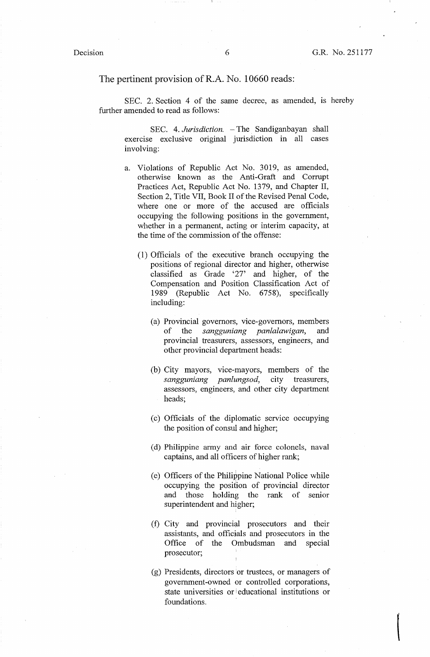#### The pertinent provision of R.A. No. 10660 reads:

SEC. 2. Section 4 of the same decree, as amended, is hereby further amended to read as follows:

SEC. 4. *Jurisdiction.* - The Sandiganbayan shall exercise exclusive original jurisdiction in all cases involving:

- a. Violations of Republic Act No. 3019, as amended, otherwise known as the Anti-Graft and Corrupt Practices Act, Republic Act No. 1379, and Chapter II, Section 2, Title VII, Book II of the Revised Penal Code, where one or more of the accused are officials occupying the following positions in the government, whether in a permanent, acting or interim capacity, at the time of the commission of the offense:
	- (1) Officials of the executive branch occupying the positions of regional director and higher, otherwise classified as Grade '27' and higher, of the Compensation and Position Classification Act of 1989 (Republic Act No. 6758), specifically including:
		- (a) Provincial governors, vice-governors, members of the *sangguniang panlalawigan,* and provincial treasurers, assessors, engineers, and other provincial department heads:
		- (b) City mayors, vice-mayors, members of the *sangguniang panlungsod,* city treasurers, assessors, engineers, and other city department heads;
		- ( c) Officials of the diplomatic service occupymg the position of consul and higher;
		- ( d) Philippine army and air force colonels, naval captains, and all officers of higher rank;
		- ( e) Officers of the Philippine National Police while occupying the posiiion of provincial director and those holding the rank of senior superintendent and higher;
		- (f) City and provincial prosecutors and their assistants, and officials and prosecutors in the Office of the Ombudsman and special prosecutor;
		- (g) Presidents, directors or trustees, or managers of government-owned or controlled corporations, state universities or i educational institutions or foundations.

 $\begin{picture}(220,20) \put(0,0){\line(1,0){10}} \put(15,0){\line(1,0){10}} \put(15,0){\line(1,0){10}} \put(15,0){\line(1,0){10}} \put(15,0){\line(1,0){10}} \put(15,0){\line(1,0){10}} \put(15,0){\line(1,0){10}} \put(15,0){\line(1,0){10}} \put(15,0){\line(1,0){10}} \put(15,0){\line(1,0){10}} \put(15,0){\line(1,0){10}} \put(15,0){\line($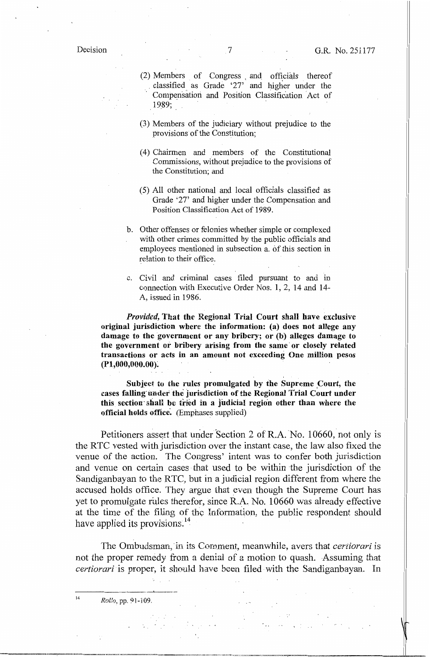$(2)$  Members of Congress and officials thereof . classified as Grade '27' and higher under the Compensation and Position Classification Act of 19\_89;

- (3) Members of the judiciary without prejudice to the provisions of the Constitution;
- (4) Chainnen and members of the Constitutional Commissions, without prejudice to the provisions of the Constitution; and
- (5) All other national and local officials classified as Grade '27' and higher under the Compensation and Position Classification Act of 1989.
- b. Other offenses or felonies whether simple or complexed with other crimes committed by the public officials and employees mentioned in subsection a. of this section in relation to their office.
- c. Civil and criminal cases filed pursuant to and in connection with Executive Order *Nos.* 1, 2, 14 and 14- A, issued in 1986.

*Provided,* **That the Regional Trial Court shall have exclusive original jurisdiction where the information: (a) does not allege any damage to the government or any bribery; or (b) alleges damage to the government or bribery arising from the same· or closely related transactions or acts in an amount not exceeding One million pesos (Pl,000,000.00):** 

Subject to the rules promulgated by the Supreme Court, the cases falling under the jurisdiction of the Regional Trial Court under this section shall be tried in a judicial region other than where the **official holds office:** (Emphases supplied)

Petitioners assert that under Section 2 of R.A. No. 10660, not only is the RTC vested with jurisdiction over the instant case, the law also fixed the venue of the action. The Congress' intent was to confer both jurisdiction and venue on certain cases that used to be within the jurisdiction of the Sandiganbayan to the RTC, but in a judicial region different from where the accused holds office. They argue that even though the Supreme Court has yet to promulgate rules therefor, since R,A. No. 10660 was already effective at the time of the filing of tho Infonnation, the public respondent should have applied its provisions.<sup>14</sup>

The Ombudsman, in its Ccnnment, meanwhile, avers that *certiorari* is not the proper remedy from a denial of a motion to quash. Assuming that *certiorari* is proper, it should have been filed with the Sandiganbayan. In

<sup>14</sup>*Rollo,* pp. 91-i 09.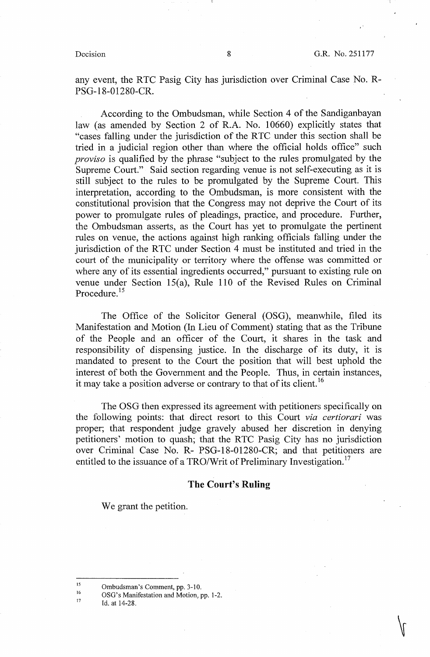any event, the RTC Pasig City has jurisdiction over Criminal Case No. R-PSG-18-01280-CR.

According to the Ombudsman, while Section 4 of the Sandiganbayan law (as amended by Section 2 of R.A. No. 10660) explicitly states that "cases falling under the jurisdiction of the RTC under this section shall be tried in a judicial region other than where the official holds office" such *proviso* is qualified by the phrase "subject to the rules promulgated by the Supreme Court." Said section regarding venue is not self-executing as it is still subject to the rules to be promulgated by the Supreme Court. This interpretation, according to the Ombudsman, is more consistent with the constitutional provision that the Congress may not deprive the Court of its power to promulgate rules of pleadings, practice, and procedure. Further, the Ombudsman asserts, as the Court has yet to promulgate the pertinent rules on venue, the actions against high ranking officials falling under the jurisdiction of the RTC under Section 4 must be instituted and tried in the court of the municipality or territory where the offense was committed or where any of its essential ingredients occurred," pursuant to existing rule on venue under Section 15(a), Rule 110 of the Revised Rules on Criminal Procedure.<sup>15</sup>

The Office of the Solicitor General (OSG), meanwhile, filed its Manifestation and Motion (In Lieu of Comment) stating that as the Tribune of the People and an officer of the Court, it shares in the task and responsibility of dispensing justice. In the discharge of its duty, it is mandated to present to the Court the position that will best uphold the interest of both the Government and the People. Thus, in certain instances, it may take a position adverse or contrary to that of its client.<sup>16</sup>

The OSG then expressed its agreement with petitioners specifically on the following points: that direct resort to this Court *via certiorari* was proper; that respondent judge gravely abused her discretion in denying petitioners' motion to quash; that the RTC Pasig City has no jurisdiction over Criminal Case No. R- PSG-18-01280-CR; and that petitioners are entitled to the issuance of a TRO/Writ of Preliminary Investigation.<sup>17</sup>

# **The Court's Ruling**

We grant the petition.

15 16 Ombudsman's Comment, pp. 3-10.

OSG's Manifestation and Motion, pp. 1-2.

17 Id. at 14-28.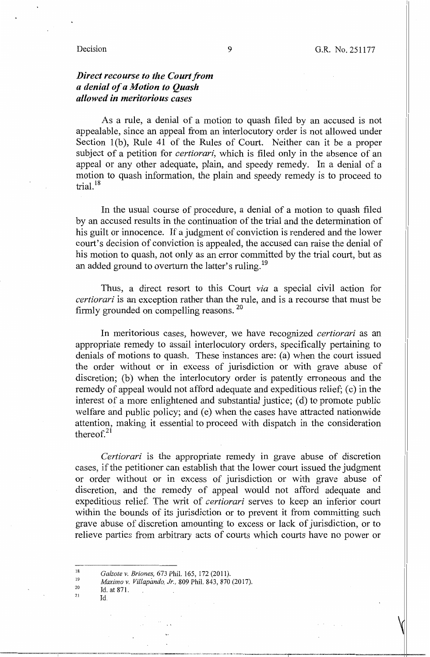### Decision

# *Direct recourse to the Court from a denial of a Motion to Quash allowed in meritorious cases*

As a rule, a denial of a motion to quash filed by an accused is not appealable, since an appeal from an interlocutory order is not allowed under Section  $1(b)$ , Rule 41 of the Rules of Court. Neither can it be a proper subject of a petition for *certiorari,* which is filed only in the absence of an appeal or any other adequate, plain, and speedy remedy. In a denial of a motion to quash information, the plain and speedy remedy is to proceed to trial. <sup>18</sup>

In the usual course of procedure, a denial of a motion to quash filed by an accused results in the continuation of the trial and the determination of his guilt or innocence. If a judgment of conviction is rendered and the lower court's decision of conviction is appealed, the accused can raise the denial of his motion to quash, not only as an error committed by the trial court, but as an added ground to overturn the latter's ruling.<sup>19</sup>

Thus, a direct resort to this Court *via* a special civil action for *certiorari* is an exception rather than the rule, and is a recourse that must be firmly grounded on compelling reasons. <sup>20</sup>

In meritorious cases, however, we have recognized *certiorari* as an appropriate remedy to assail interlocutory orders, specifically pertaining to denials of motions to quash. These instances are: (a) when the court issued the order without or in excess of jurisdiction or with grave abuse of discretion; (b) when the interlocutory order is patently erroneous and the remedy of appeal would not afford adequate and expeditious relief; (c) in the interest of a more enlightened and substantial justice; (d) to promote public welfare and public policy; and (e) when the cases have attracted nationwide attention, making it essential to proceed with dispatch in the consideration thereof. $21$ 

*Certiorari* is the appropriate remedy in grave abuse of discretion cases, if the petitioner can establish that the lower court issued the judgment or order without or in excess of jurisdiction or with grave abuse of discretion, and the remedy of appeal would not afford adequate and expeditious relief. The writ of *certiorari* serves to keep an inferior court within the bounds of its jurisdiction or to prevent it from committing such grave abuse of discretion amounting to excess or lack of jurisdiction, or to relieve parties from arbitrary acts of courts which courts have no power or

- 19 20 *Maximo* V. *Villapando, Jr.,* 809 Phil. 843, 870 (2017).
- 21 Id. at 871. Id

<sup>18</sup>  *Galzote v. Briones,* 673 Phil. 165, 172 (2011).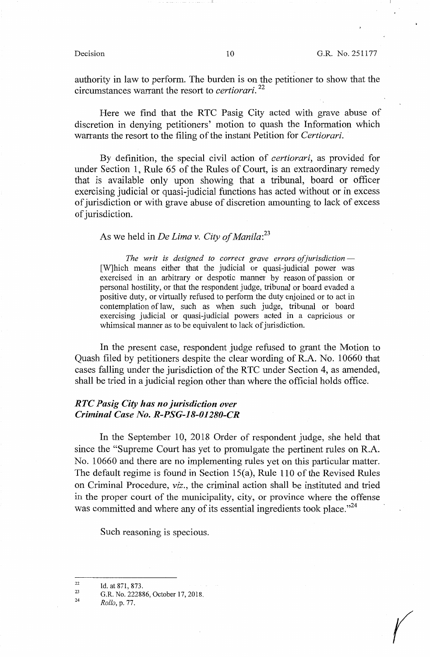*(* 

authority in law to perform. The burden is on the petitioner to show that the circumstances warrant the resort to *certiorari.* <sup>22</sup>

Here we find that the RTC Pasig City acted with grave abuse of discretion in denying petitioners' motion to quash the Information which warrants the resort to the filing of the instant Petition for *Certiorari.* 

By definition, the special civil action of *certiorari,* as provided for under Section 1, Rule 65 of the Rules of Court, is an extraordinary remedy that is available only upon showing that a tribunal, board or officer exercising judicial or quasi-judicial functions has acted without or in excess of jurisdiction or with grave abuse of discretion amounting to lack of excess of jurisdiction.

# As we held in *De Lima v. City of Manila: <sup>23</sup>*

*The writ is designed to correct grave errors of jurisdiction* — [W]hich means either that the judicial or quasi-judicial power was exercised in an arbitrary or despotic manner by reason of passion or personal hostility, or that the respondent judge, tribunal or board evaded a positive duty, or virtually refused to perform the duty enjoined or to act in contemplation of law, such as when such judge, tribunal or board exercising judicial or quasi-judicial powers acted in a capricious or whimsical manner as to be equivalent to lack of jurisdiction.

In the present case, respondent judge refused to grant the Motion to Quash filed by petitioners despite the clear wording of R.A. No. 10660 that cases falling under the jurisdiction of the RTC under Section 4, as amended, shall be tried in a judicial region other than where the official holds office.

# *RTC Pasig City has no jurisdiction over Criminal Case No. R-PSG-18-01280-CR*

In the September 10, 2018 Order of respondent judge, she held that since the "Supreme Court has yet to promulgate the pertinent rules on R.A. No. 10660 and there are no implementing rules yet on this particular matter. The default regime is found in Section 15(a), Rule 110 of the Revised Rules on Criminal Procedure, *viz.,* the criminal action shall be instituted and tried in the proper court of the municipality, city, or province where the offense was committed and where any of its essential ingredients took place."<sup>24</sup>

Such reasoning is specious.

<sup>22</sup>  Id. at 871, 873.

<sup>23</sup>  24 G.R. No. 222886, October 17, 2018.

*Rollo,* p. 77.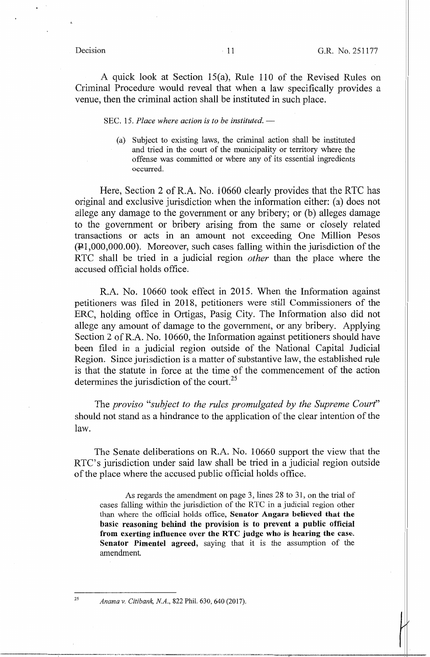A quick look at Section 15(a), Rule 110 of the Revised Rules on Criminal Procedure would reveal that when a law specifically provides a venue, then the criminal action shall be instituted in such place.

### SEC. 15. *Place where action is to be instituted.* —

(a) Subject to existing laws, the criminal action shall be instituted and tried in the court of the municipality or territory where the offense was committed or where any of its essential ingredients occurred.

Here, Section 2 of R.A. No. 10660 clearly provides that the RTC has original and exclusive jurisdiction when the information either: (a) does not allege any damage to the goverrunent or any bribery; or (b) alleges damage to the government or bribery arising from the same or closely related transactions or acts in an amount not exceeding One Million Pesos  $(41,000,000.00)$ . Moreover, such cases falling within the jurisdiction of the RTC shall be tried in a judicial region *other* than the place where the accused official holds office.

R.A. No. 10660 took effect in 2015. When the Information against petitioners was filed in 2018, petitioners were still Commissioners of the ERC, holding office in Ortigas, Pasig City. The Information also did not allege any amount of damage to the government, or any bribery. Applying Section 2 of R.A. No. 10660, the Information against petitioners should have been filed in a judicial region outside of the National Capital Judicial Region. Since jurisdiction is a matter of substantive law, the established rule is that the statute in force at the time of the commencement of the action determines the jurisdiction of the court.<sup>25</sup>

The *proviso "subject to the rules promulgated by the Supreme Court"*  should not stand as a hindrance to the application of the clear intention of the law.

The Senate deliberations on R.A. No. 10660 support the view that the RTC's jurisdiction under said law shall be tried in a judicial region outside of the place where the accused public official holds office.

As regards the amendment on page 3, lines 28 to 31, on the trial of cases falling within the jurisdiction of the RTC in a judicial region other than where the official holds office, **Senator Angara believed that the basic reasoning behind the provision is to prevent a public official from exerting influence over the RTC judge who is hearing the case. Senator Pimentel agreed,** saying that it is the assumption of the amendment.

*Anama v. Citibank, NA.,* 822 Phil. 630, 640 (2017).

25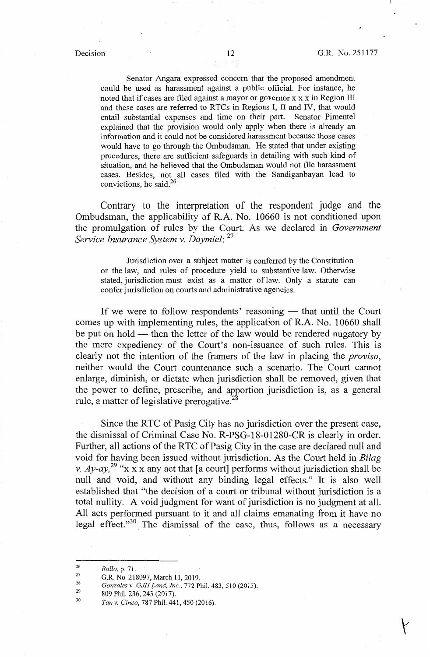Senator Angara expressed concern that the proposed amendment could be used as harassment against a public official. For instance, he noted that if cases are filed against a mayor or governor x x x in Region III and these cases are referred to RTCs in Regions I, II and IV, that would entail substantial expenses and time on their part. Senator Pimentel explained that the provision would only apply when there is already an information and it could not be considered harassment because those cases would have *to* go through the Ombudsman. He stated that tmder existing procedures, there are sufficient safeguards in detailing with such kind of situation, and he believed that the Ombudsman would not file harassment cases. Besides, not all cases filed with the Sandiganbayan lead *to*  convictions, he said. 26

Contrary to the interpretation of the respondent judge and the Ombudsman, the applicability of R.A. No. 10660 is not conditioned upon the promulgation of rules by the Court. As we declared in *Government Service Insurance System v. Daymiel:* <sup>27</sup>

Jurisdiction over a subject matter is conferred by the Constitution or the law, and rules of procedure yield *to* substantive law. Otherwise stated, jurisdiction must exist as a matter oflaw. Only a statute can confer jurisdiction on courts and administrative agencies.

If we were to follow respondents' reasoning - that until the Court comes up with implementing rules, the application of R.A. No. 10660 shall be put on hold - then the letter of the law would be rendered nugatory by the mere expediency of the Court's non-issuance of such rules. This is clearly not the intention of the framers of the law in placing the *proviso,*  neither would the Court countenance such a scenario. The Court cannot enlarge, diminish, or dictate when jurisdiction shall be removed, given that the power to define, prescribe, and apportion jurisdiction is, as a general rule, a matter of legislative prerogative.

Since the RTC of Pasig City has no jurisdiction over the present case, the dismissal of Criminal Case No. R-PSG-18-01280-CR is clearly in order. Further, all actions of the RTC of Pasig City in the case are declared null and void for having been issued without jurisdiction. As the Court held in *Bilag v. Ay-ay*,<sup>29</sup> "x x x any act that [a court] performs without jurisdiction shall be null and void, and without any binding legal effects." It is also well established that "the decision of a court or tribunal without jurisdiction is a total nullity. A void judgment for want of jurisdiction is no judgment at all. All acts performed pursuant to it and all claims emanating from it have no legal effect."<sup>30</sup> The dismissal of the case, thus, follows as a necessary

<sup>26</sup>  *Rollo,* p. 71.

<sup>27</sup>  28 G.R. No. 218097, March 11, 2019.

*Gonzales v. GJH Land, Inc.,* 772 Phil. 483, 510 (2015).

<sup>29</sup>  809 Phil. 236, 243 (2017).

<sup>30</sup>  *Tan v. Cinco,* 787 Phil. 441,450 (2016).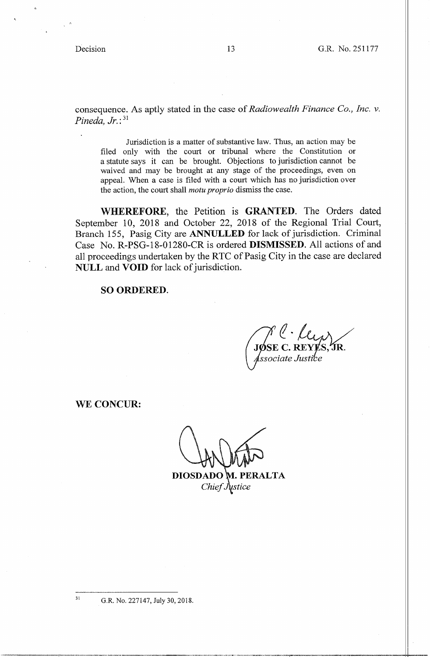consequence. As aptly stated in the case of *Radiowealth Finance Co., Inc. v. Pineda, Jr.:* <sup>31</sup>

Jurisdiction is a matter of substantive law. Thus, an action may be filed only with the court or tribunal where the Constitution or a statute says it can be brought. Objections to jurisdiction cannot be waived and may be brought at any stage of the proceedings, even on appeal. When a case is filed with a court which has no jurisdiction over the action, the court shall *motu proprio* dismiss the case.

**WHEREFORE,** the Petition is **GRANTED.** The Orders dated September 10, 2018 and October 22, 2018 of the Regional Trial Court, Branch 155, Pasig City are **ANNULLED** for lack of jurisdiction. Criminal Case No. R-PSG-18-01280-CR is ordered **DISMISSED.** All actions of and all proceedings undertaken by the RTC of Pasig City in the case are declared **NULL** and **VOID** for lack of jurisdiction.

### **SO ORDERED.**

*e-* Uv,.}\ / **JØSE C. REYLS**<br>Associate Justice  $\mathbf{\hat{J}R}$  .

**WE CONCUR:** 

**DIOSDADO**  *Chief* 

31 G.R. No. 227147, July 30, 2018.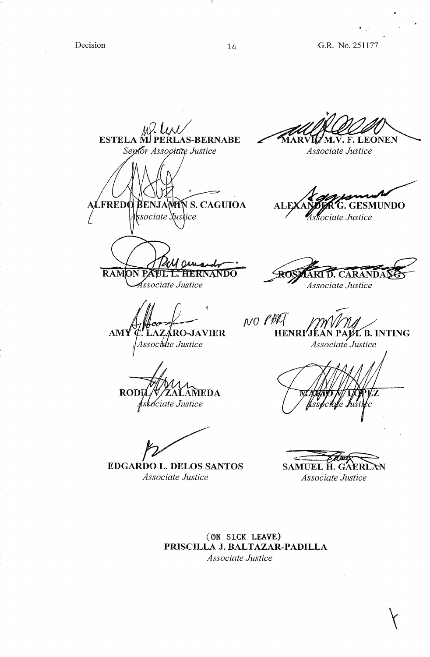..

.,.

*AAQ'4J/*  ESTELA MI PERLAS-BERNABE Septor Associate Justice

**FREDO** EN LA

RAMON PAUL L. HERNANDO Associate Justice

**RODI AMEDA** Askociate Justice

**EDGARDO L. DELOS SANTOS**  *Associate Justice* 

"MAR 'M.V. F. LEONEN

*Associate Justice* 

**SENJANTIN S. CAGUIOA ALEXANTER G. GESMUNDO**<br>sociate *Sustice* Associate Justice . *"Asra~~~ Justice* 

ROS **D. CARANDAN** *Associate Justice* 

 $NO$   $PBC$ **AMY C. LAZARO-JAVIER HENRI'JEAN PAIZE B. INTING**<br>Associate Justice *Associate Justice Associate Justice* 

 $\overbrace{H_{\text{H}}^{\text{H}}$ SAMUEL **H.** GAE *Associate Justice* 

**(ON SICK LEAVE) PRISCILLA J. BALTAZAR-PADILLA**  *Associate Justice*